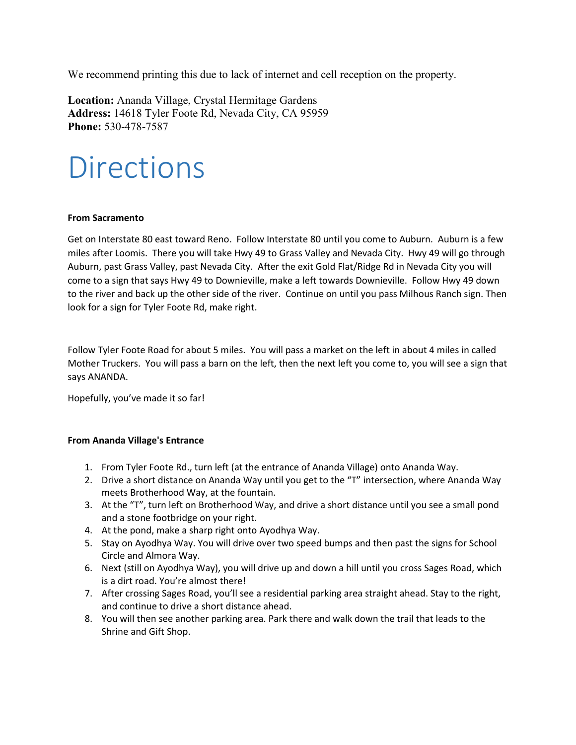We recommend printing this due to lack of internet and cell reception on the property.

**Location:** Ananda Village, Crystal Hermitage Gardens **Address:** 14618 Tyler Foote Rd, Nevada City, CA 95959 **Phone:** 530-478-7587

## **Directions**

## **From Sacramento**

Get on Interstate 80 east toward Reno. Follow Interstate 80 until you come to Auburn. Auburn is a few miles after Loomis. There you will take Hwy 49 to Grass Valley and Nevada City. Hwy 49 will go through Auburn, past Grass Valley, past Nevada City. After the exit Gold Flat/Ridge Rd in Nevada City you will come to a sign that says Hwy 49 to Downieville, make a left towards Downieville. Follow Hwy 49 down to the river and back up the other side of the river. Continue on until you pass Milhous Ranch sign. Then look for a sign for Tyler Foote Rd, make right.

Follow Tyler Foote Road for about 5 miles. You will pass a market on the left in about 4 miles in called Mother Truckers. You will pass a barn on the left, then the next left you come to, you will see a sign that says ANANDA.

Hopefully, you've made it so far!

## **From Ananda Village's Entrance**

- 1. From Tyler Foote Rd., turn left (at the entrance of Ananda Village) onto Ananda Way.
- 2. Drive a short distance on Ananda Way until you get to the "T" intersection, where Ananda Way meets Brotherhood Way, at the fountain.
- 3. At the "T", turn left on Brotherhood Way, and drive a short distance until you see a small pond and a stone footbridge on your right.
- 4. At the pond, make a sharp right onto Ayodhya Way.
- 5. Stay on Ayodhya Way. You will drive over two speed bumps and then past the signs for School Circle and Almora Way.
- 6. Next (still on Ayodhya Way), you will drive up and down a hill until you cross Sages Road, which is a dirt road. You're almost there!
- 7. After crossing Sages Road, you'll see a residential parking area straight ahead. Stay to the right, and continue to drive a short distance ahead.
- 8. You will then see another parking area. Park there and walk down the trail that leads to the Shrine and Gift Shop.